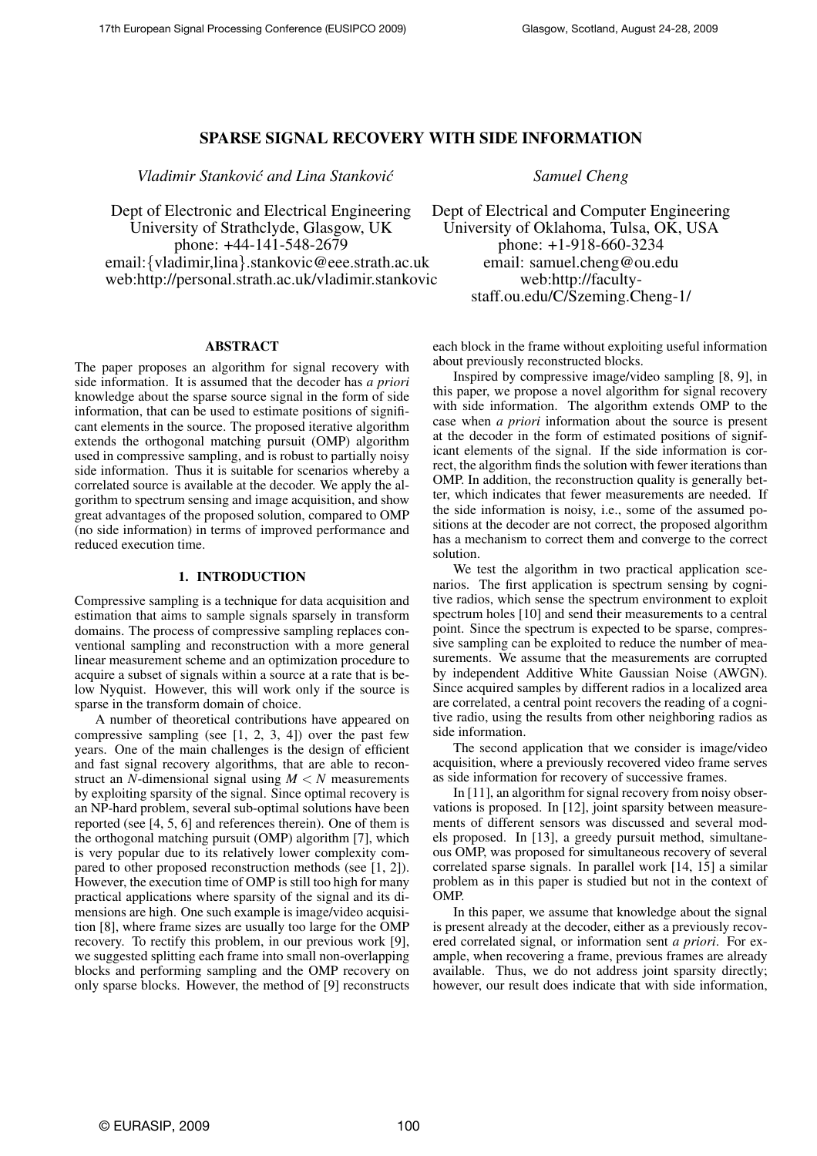# SPARSE SIGNAL RECOVERY WITH SIDE INFORMATION

*Vladimir Stankovic and Lina Stankovi ´ c Samuel Cheng ´*

Dept of Electronic and Electrical Engineering University of Strathclyde, Glasgow, UK phone: +44-141-548-2679 email:{vladimir,lina}.stankovic@eee.strath.ac.uk web:http://personal.strath.ac.uk/vladimir.stankovic

# ABSTRACT

The paper proposes an algorithm for signal recovery with side information. It is assumed that the decoder has *a priori* knowledge about the sparse source signal in the form of side information, that can be used to estimate positions of significant elements in the source. The proposed iterative algorithm extends the orthogonal matching pursuit (OMP) algorithm used in compressive sampling, and is robust to partially noisy side information. Thus it is suitable for scenarios whereby a correlated source is available at the decoder. We apply the algorithm to spectrum sensing and image acquisition, and show great advantages of the proposed solution, compared to OMP (no side information) in terms of improved performance and reduced execution time.

# 1. INTRODUCTION

Compressive sampling is a technique for data acquisition and estimation that aims to sample signals sparsely in transform domains. The process of compressive sampling replaces conventional sampling and reconstruction with a more general linear measurement scheme and an optimization procedure to acquire a subset of signals within a source at a rate that is below Nyquist. However, this will work only if the source is sparse in the transform domain of choice.

A number of theoretical contributions have appeared on compressive sampling (see  $[1, 2, 3, 4]$ ) over the past few years. One of the main challenges is the design of efficient and fast signal recovery algorithms, that are able to reconstruct an  $N$ -dimensional signal using  $M < N$  measurements by exploiting sparsity of the signal. Since optimal recovery is an NP-hard problem, several sub-optimal solutions have been reported (see [4, 5, 6] and references therein). One of them is the orthogonal matching pursuit (OMP) algorithm [7], which is very popular due to its relatively lower complexity compared to other proposed reconstruction methods (see [1, 2]). However, the execution time of OMP is still too high for many practical applications where sparsity of the signal and its dimensions are high. One such example is image/video acquisition [8], where frame sizes are usually too large for the OMP recovery. To rectify this problem, in our previous work [9], we suggested splitting each frame into small non-overlapping blocks and performing sampling and the OMP recovery on only sparse blocks. However, the method of [9] reconstructs

Dept of Electrical and Computer Engineering University of Oklahoma, Tulsa, OK, USA phone: +1-918-660-3234 email: samuel.cheng@ou.edu web:http://facultystaff.ou.edu/C/Szeming.Cheng-1/

each block in the frame without exploiting useful information about previously reconstructed blocks.

Inspired by compressive image/video sampling [8, 9], in this paper, we propose a novel algorithm for signal recovery with side information. The algorithm extends OMP to the case when *a priori* information about the source is present at the decoder in the form of estimated positions of significant elements of the signal. If the side information is correct, the algorithm finds the solution with fewer iterations than OMP. In addition, the reconstruction quality is generally better, which indicates that fewer measurements are needed. If the side information is noisy, i.e., some of the assumed positions at the decoder are not correct, the proposed algorithm has a mechanism to correct them and converge to the correct solution.

We test the algorithm in two practical application scenarios. The first application is spectrum sensing by cognitive radios, which sense the spectrum environment to exploit spectrum holes [10] and send their measurements to a central point. Since the spectrum is expected to be sparse, compressive sampling can be exploited to reduce the number of measurements. We assume that the measurements are corrupted by independent Additive White Gaussian Noise (AWGN). Since acquired samples by different radios in a localized area are correlated, a central point recovers the reading of a cognitive radio, using the results from other neighboring radios as side information.

The second application that we consider is image/video acquisition, where a previously recovered video frame serves as side information for recovery of successive frames.

In [11], an algorithm for signal recovery from noisy observations is proposed. In [12], joint sparsity between measurements of different sensors was discussed and several models proposed. In [13], a greedy pursuit method, simultaneous OMP, was proposed for simultaneous recovery of several correlated sparse signals. In parallel work [14, 15] a similar problem as in this paper is studied but not in the context of OMP.

In this paper, we assume that knowledge about the signal is present already at the decoder, either as a previously recovered correlated signal, or information sent *a priori*. For example, when recovering a frame, previous frames are already available. Thus, we do not address joint sparsity directly; however, our result does indicate that with side information,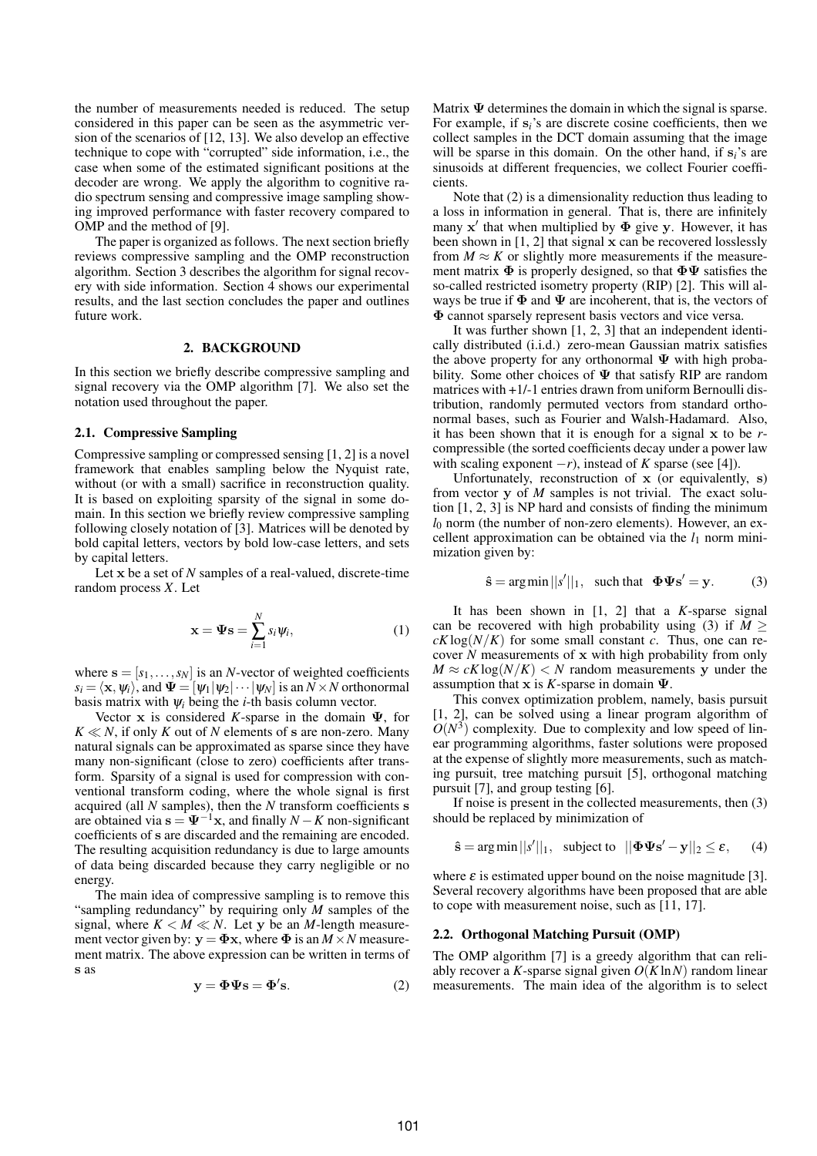the number of measurements needed is reduced. The setup considered in this paper can be seen as the asymmetric version of the scenarios of [12, 13]. We also develop an effective technique to cope with "corrupted" side information, i.e., the case when some of the estimated significant positions at the decoder are wrong. We apply the algorithm to cognitive radio spectrum sensing and compressive image sampling showing improved performance with faster recovery compared to OMP and the method of [9].

The paper is organized as follows. The next section briefly reviews compressive sampling and the OMP reconstruction algorithm. Section 3 describes the algorithm for signal recovery with side information. Section 4 shows our experimental results, and the last section concludes the paper and outlines future work.

### 2. BACKGROUND

In this section we briefly describe compressive sampling and signal recovery via the OMP algorithm [7]. We also set the notation used throughout the paper.

### 2.1. Compressive Sampling

Compressive sampling or compressed sensing [1, 2] is a novel framework that enables sampling below the Nyquist rate, without (or with a small) sacrifice in reconstruction quality. It is based on exploiting sparsity of the signal in some domain. In this section we briefly review compressive sampling following closely notation of [3]. Matrices will be denoted by bold capital letters, vectors by bold low-case letters, and sets by capital letters.

Let x be a set of *N* samples of a real-valued, discrete-time random process *X*. Let

$$
\mathbf{x} = \mathbf{\Psi}\mathbf{s} = \sum_{i=1}^{N} s_i \psi_i,
$$
 (1)

where  $\mathbf{s} = [s_1, \dots, s_N]$  is an *N*-vector of weighted coefficients  $s_i = \langle \mathbf{x}, \psi_i \rangle$ , and  $\Psi = [\psi_1 | \psi_2 | \cdots | \psi_N]$  is an  $N \times N$  orthonormal basis matrix with  $\psi_i$  being the *i*-th basis column vector.

Vector x is considered *K*-sparse in the domain  $\Psi$ , for  $K \ll N$ , if only *K* out of *N* elements of s are non-zero. Many natural signals can be approximated as sparse since they have many non-significant (close to zero) coefficients after transform. Sparsity of a signal is used for compression with conventional transform coding, where the whole signal is first acquired (all *N* samples), then the *N* transform coefficients s are obtained via  $s = \Psi^{-1}x$ , and finally *N* − *K* non-significant coefficients of s are discarded and the remaining are encoded. The resulting acquisition redundancy is due to large amounts of data being discarded because they carry negligible or no energy.

The main idea of compressive sampling is to remove this "sampling redundancy" by requiring only *M* samples of the signal, where  $K < M \ll N$ . Let y be an *M*-length measurement vector given by:  $y = \Phi x$ , where  $\Phi$  is an  $M \times N$  measurement matrix. The above expression can be written in terms of s as

$$
y = \Phi \Psi s = \Phi' s. \tag{2}
$$

Matrix  $\Psi$  determines the domain in which the signal is sparse. For example, if s*i*'s are discrete cosine coefficients, then we collect samples in the DCT domain assuming that the image will be sparse in this domain. On the other hand, if  $s_i$ 's are sinusoids at different frequencies, we collect Fourier coefficients.

Note that (2) is a dimensionality reduction thus leading to a loss in information in general. That is, there are infinitely many  $x'$  that when multiplied by  $\Phi$  give y. However, it has been shown in [1, 2] that signal x can be recovered losslessly from  $M \approx K$  or slightly more measurements if the measurement matrix  $\Phi$  is properly designed, so that  $\Phi\Psi$  satisfies the so-called restricted isometry property (RIP) [2]. This will always be true if  $\Phi$  and  $\Psi$  are incoherent, that is, the vectors of Φ cannot sparsely represent basis vectors and vice versa.

It was further shown [1, 2, 3] that an independent identically distributed (i.i.d.) zero-mean Gaussian matrix satisfies the above property for any orthonormal  $\Psi$  with high probability. Some other choices of  $\Psi$  that satisfy RIP are random matrices with +1/-1 entries drawn from uniform Bernoulli distribution, randomly permuted vectors from standard orthonormal bases, such as Fourier and Walsh-Hadamard. Also, it has been shown that it is enough for a signal x to be *r*compressible (the sorted coefficients decay under a power law with scaling exponent  $-r$ ), instead of *K* sparse (see [4]).

Unfortunately, reconstruction of x (or equivalently, s) from vector y of *M* samples is not trivial. The exact solution [1, 2, 3] is NP hard and consists of finding the minimum  $l_0$  norm (the number of non-zero elements). However, an excellent approximation can be obtained via the  $l_1$  norm minimization given by:

$$
\hat{\mathbf{s}} = \arg\min ||s'||_1, \text{ such that } \Phi\Psi \mathbf{s}' = \mathbf{y}.
$$
 (3)

It has been shown in [1, 2] that a *K*-sparse signal can be recovered with high probability using (3) if  $M \geq$  $cK\log(N/K)$  for some small constant *c*. Thus, one can recover *N* measurements of x with high probability from only  $M \approx cK \log(N/K) < N$  random measurements y under the assumption that  $x$  is *K*-sparse in domain  $\Psi$ .

This convex optimization problem, namely, basis pursuit [1, 2], can be solved using a linear program algorithm of  $O(N^3)$  complexity. Due to complexity and low speed of linear programming algorithms, faster solutions were proposed at the expense of slightly more measurements, such as matching pursuit, tree matching pursuit [5], orthogonal matching pursuit [7], and group testing [6].

If noise is present in the collected measurements, then (3) should be replaced by minimization of

$$
\hat{\mathbf{s}} = \arg\min ||s'||_1, \text{ subject to } ||\boldsymbol{\Phi}\boldsymbol{\Psi}\mathbf{s}' - \mathbf{y}||_2 \le \varepsilon, \quad (4)
$$

where  $\varepsilon$  is estimated upper bound on the noise magnitude [3]. Several recovery algorithms have been proposed that are able to cope with measurement noise, such as [11, 17].

### 2.2. Orthogonal Matching Pursuit (OMP)

The OMP algorithm [7] is a greedy algorithm that can reliably recover a *K*-sparse signal given *O*(*K*ln*N*) random linear measurements. The main idea of the algorithm is to select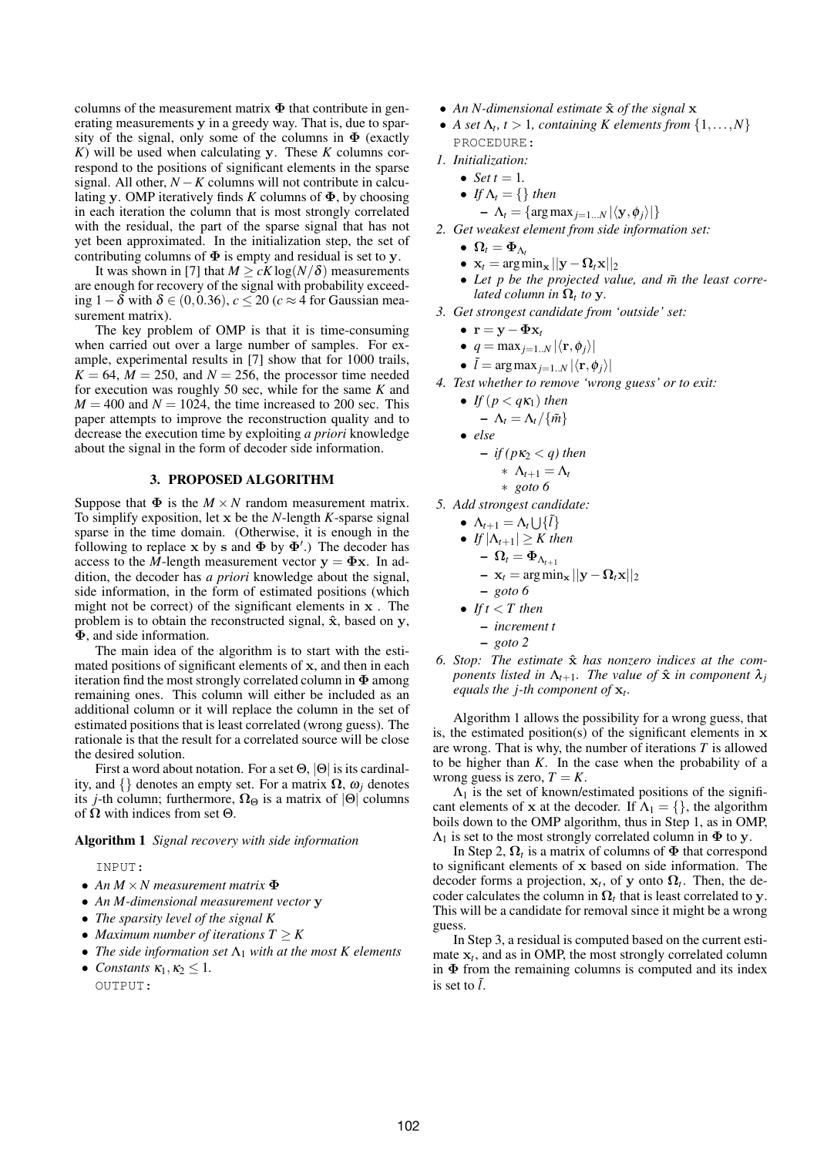columns of the measurement matrix  $\Phi$  that contribute in generating measurements y in a greedy way. That is, due to sparsity of the signal, only some of the columns in  $\Phi$  (exactly *K*) will be used when calculating y. These *K* columns correspond to the positions of significant elements in the sparse signal. All other,  $N - K$  columns will not contribute in calculating y. OMP iteratively finds *K* columns of Φ, by choosing in each iteration the column that is most strongly correlated with the residual, the part of the sparse signal that has not yet been approximated. In the initialization step, the set of contributing columns of  $\Phi$  is empty and residual is set to y.

It was shown in [7] that  $M \ge cK \log(N/\delta)$  measurements are enough for recovery of the signal with probability exceeding 1−δ with δ ∈ (0,0.36), *c* ≤ 20 (*c* ≈ 4 for Gaussian measurement matrix).

The key problem of OMP is that it is time-consuming when carried out over a large number of samples. For example, experimental results in [7] show that for 1000 trails,  $K = 64$ ,  $\overline{M} = 250$ , and  $N = 256$ , the processor time needed for execution was roughly 50 sec, while for the same *K* and  $M = 400$  and  $N = 1024$ , the time increased to 200 sec. This paper attempts to improve the reconstruction quality and to decrease the execution time by exploiting *a priori* knowledge about the signal in the form of decoder side information.

# 3. PROPOSED ALGORITHM

Suppose that  $\Phi$  is the  $M \times N$  random measurement matrix. To simplify exposition, let x be the *N*-length *K*-sparse signal sparse in the time domain. (Otherwise, it is enough in the following to replace x by s and  $\Phi$  by  $\Phi'$ .) The decoder has access to the *M*-length measurement vector  $y = \Phi x$ . In addition, the decoder has *a priori* knowledge about the signal, side information, in the form of estimated positions (which might not be correct) of the significant elements in x . The problem is to obtain the reconstructed signal,  $\hat{x}$ , based on y, Φ, and side information.

The main idea of the algorithm is to start with the estimated positions of significant elements of x, and then in each iteration find the most strongly correlated column in  $\Phi$  among remaining ones. This column will either be included as an additional column or it will replace the column in the set of estimated positions that is least correlated (wrong guess). The rationale is that the result for a correlated source will be close the desired solution.

First a word about notation. For a set  $\Theta$ ,  $|\Theta|$  is its cardinality, and  $\{\}$  denotes an empty set. For a matrix  $\Omega$ ,  $\omega_i$  denotes its *j*-th column; furthermore,  $\Omega_{\Theta}$  is a matrix of  $|\Theta|$  columns of  $\Omega$  with indices from set  $\Theta$ .

#### Algorithm 1 *Signal recovery with side information*

- INPUT:
- *An M* ×*N measurement matrix* Φ
- *An M-dimensional measurement vector* y
- *The sparsity level of the signal K*
- *Maximum number of iterations T* ≥ *K*
- *The side information set*  $\Lambda_1$  *with at the most K elements*
- *Constants*  $\kappa_1, \kappa_2 \leq 1$ . OUTPUT:
- An *N*-dimensional estimate  $\hat{x}$  of the signal **x**
- *A set*  $\Lambda_t$ ,  $t > 1$ , containing *K* elements from  $\{1, \ldots, N\}$ PROCEDURE:
- *1. Initialization:*
	- *Set*  $t = 1$ *.*
	- *If*  $\Lambda_t = \{\}$  *then* 
		- $\Lambda_t = \{ \argmax_{j=1...N} |\langle \mathbf{y}, \phi_j \rangle| \}$
- *2. Get weakest element from side information set:*
	- $\Omega_t = \Phi_{\Lambda_t}$
	- $\mathbf{x}_t = \arg \min_{\mathbf{x}} ||\mathbf{y} \mathbf{\Omega}_t \mathbf{x}||_2$
	- Let *p* be the projected value, and  $\tilde{m}$  the least corre*lated column in*  $\Omega_t$  *to* y.
- *3. Get strongest candidate from 'outside' set:*
	- r = y− Φx*<sup>t</sup>*
	- $q = \max_{i=1..N} |\langle \mathbf{r}, \phi_i \rangle|$
	- $\tilde{l} = \arg \max_{j=1..N} |\langle \mathbf{r}, \phi_j \rangle|$
- *4. Test whether to remove 'wrong guess' or to exit:*
	- *If*  $(p < qK_1)$  *then*  $-\Lambda_t = \Lambda_t/\{\tilde{m}\}\$
	- *else*  $-$  *if* ( $pK_2 < q$ ) then

$$
\begin{array}{c}\n * \ \Lambda_{t+1} = \Lambda_t \\
* \ \text{goto 6}\n\end{array}
$$

- *5. Add strongest candidate:*
	- $\Lambda_{t+1} = \Lambda_t \cup \{\tilde{l}\}$ 
		- *If*  $|\Lambda_{t+1}| \geq K$  *then* 
			- $\Omega_t = \Phi_{\Lambda_{t+1}}$ 
				- $-$  x<sub>t</sub> = argmin<sub>x</sub>  $||y \Omega_t x||_2$
		- *goto 6*
		- *If*  $t < T$  *then* 
			- *increment t*
			- *goto 2*
- *6. Stop: The estimate* ˆx *has nonzero indices at the components listed in*  $\Lambda_{t+1}$ *. The value of*  $\hat{\mathbf{x}}$  *in component*  $\lambda_j$ *equals the j-th component of* x*<sup>t</sup> .*

Algorithm 1 allows the possibility for a wrong guess, that is, the estimated position(s) of the significant elements in  $x$ are wrong. That is why, the number of iterations *T* is allowed to be higher than *K*. In the case when the probability of a wrong guess is zero,  $T = K$ .

 $\Lambda_1$  is the set of known/estimated positions of the significant elements of x at the decoder. If  $\Lambda_1 = \{\}$ , the algorithm boils down to the OMP algorithm, thus in Step 1, as in OMP,  $\Lambda_1$  is set to the most strongly correlated column in  $\Phi$  to y.

In Step 2,  $\Omega_t$  is a matrix of columns of  $\Phi$  that correspond to significant elements of x based on side information. The decoder forms a projection,  $x_t$ , of y onto  $\Omega_t$ . Then, the decoder calculates the column in  $\Omega_t$  that is least correlated to y. This will be a candidate for removal since it might be a wrong guess.

In Step 3, a residual is computed based on the current estimate  $x_t$ , and as in OMP, the most strongly correlated column in  $\Phi$  from the remaining columns is computed and its index is set to  $\tilde{l}$ .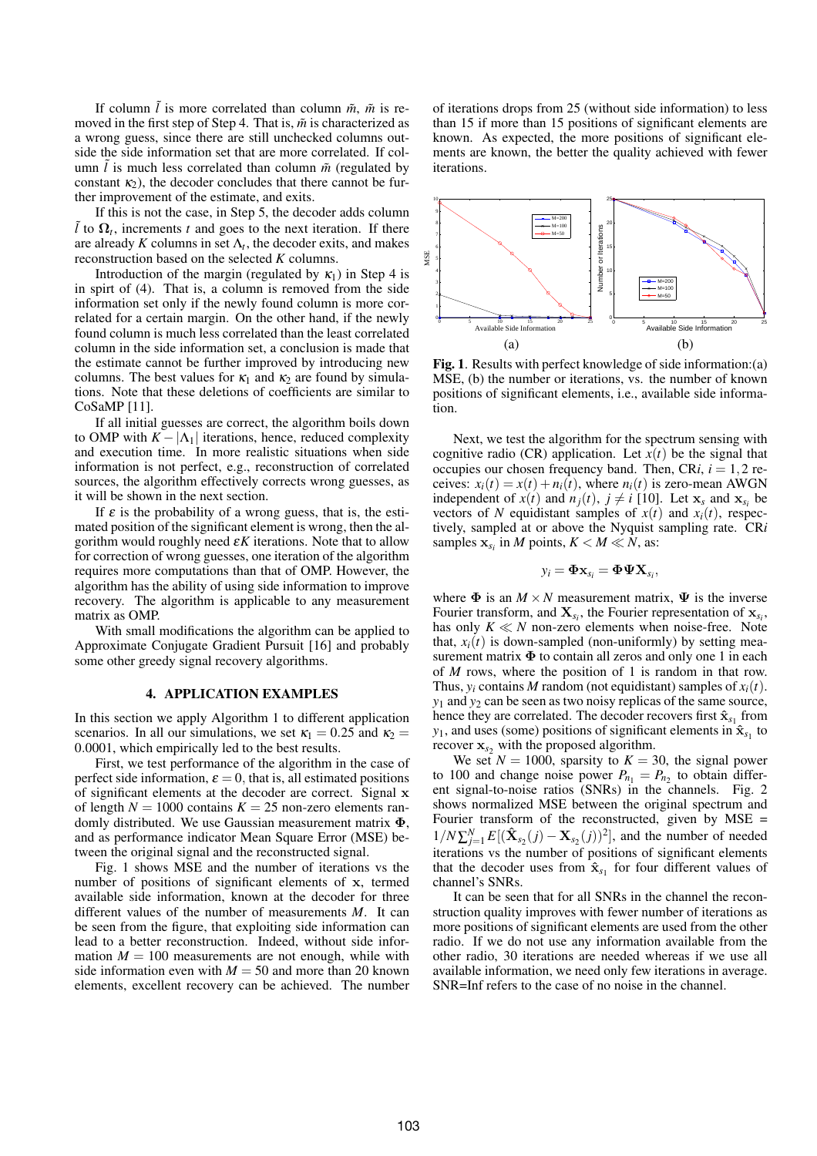If column  $\tilde{l}$  is more correlated than column  $\tilde{m}$ ,  $\tilde{m}$  is removed in the first step of Step 4. That is,  $\tilde{m}$  is characterized as a wrong guess, since there are still unchecked columns outside the side information set that are more correlated. If column  $l$  is much less correlated than column  $\tilde{m}$  (regulated by constant  $\kappa_2$ ), the decoder concludes that there cannot be further improvement of the estimate, and exits.

If this is not the case, in Step 5, the decoder adds column  $\tilde{l}$  to  $\Omega$ <sub>t</sub>, increments *t* and goes to the next iteration. If there are already  $K$  columns in set  $\Lambda_t$ , the decoder exits, and makes reconstruction based on the selected *K* columns.

Introduction of the margin (regulated by  $\kappa_1$ ) in Step 4 is in spirt of (4). That is, a column is removed from the side information set only if the newly found column is more correlated for a certain margin. On the other hand, if the newly found column is much less correlated than the least correlated column in the side information set, a conclusion is made that the estimate cannot be further improved by introducing new columns. The best values for  $\kappa_1$  and  $\kappa_2$  are found by simulations. Note that these deletions of coefficients are similar to CoSaMP [11].

If all initial guesses are correct, the algorithm boils down to OMP with  $K - |\Lambda_1|$  iterations, hence, reduced complexity and execution time. In more realistic situations when side information is not perfect, e.g., reconstruction of correlated sources, the algorithm effectively corrects wrong guesses, as it will be shown in the next section.

If  $\varepsilon$  is the probability of a wrong guess, that is, the estimated position of the significant element is wrong, then the algorithm would roughly need  $\epsilon K$  iterations. Note that to allow for correction of wrong guesses, one iteration of the algorithm requires more computations than that of OMP. However, the algorithm has the ability of using side information to improve recovery. The algorithm is applicable to any measurement matrix as OMP.

With small modifications the algorithm can be applied to Approximate Conjugate Gradient Pursuit [16] and probably some other greedy signal recovery algorithms.

#### 4. APPLICATION EXAMPLES

In this section we apply Algorithm 1 to different application scenarios. In all our simulations, we set  $\kappa_1 = 0.25$  and  $\kappa_2 =$ 0.0001, which empirically led to the best results.

First, we test performance of the algorithm in the case of perfect side information,  $\varepsilon = 0$ , that is, all estimated positions of significant elements at the decoder are correct. Signal x of length  $N = 1000$  contains  $K = 25$  non-zero elements randomly distributed. We use Gaussian measurement matrix Φ, and as performance indicator Mean Square Error (MSE) between the original signal and the reconstructed signal.

Fig. 1 shows MSE and the number of iterations vs the number of positions of significant elements of x, termed available side information, known at the decoder for three different values of the number of measurements *M*. It can be seen from the figure, that exploiting side information can lead to a better reconstruction. Indeed, without side information  $M = 100$  measurements are not enough, while with side information even with  $M = 50$  and more than 20 known elements, excellent recovery can be achieved. The number of iterations drops from 25 (without side information) to less than 15 if more than 15 positions of significant elements are known. As expected, the more positions of significant elements are known, the better the quality achieved with fewer iterations.



Fig. 1. Results with perfect knowledge of side information:(a) MSE, (b) the number or iterations, vs. the number of known positions of significant elements, i.e., available side information.

Next, we test the algorithm for the spectrum sensing with cognitive radio (CR) application. Let  $x(t)$  be the signal that occupies our chosen frequency band. Then,  $CRi$ ,  $i = 1, 2$  receives:  $x_i(t) = x(t) + n_i(t)$ , where  $n_i(t)$  is zero-mean AWGN independent of  $x(t)$  and  $n_j(t)$ ,  $j \neq i$  [10]. Let  $\mathbf{x}_s$  and  $\mathbf{x}_{s_i}$  be vectors of *N* equidistant samples of  $x(t)$  and  $x_i(t)$ , respectively, sampled at or above the Nyquist sampling rate. CR*i* samples  $\mathbf{x}_{s_i}$  in *M* points,  $K < M \ll N$ , as:

$$
y_i = \mathbf{\Phi} \mathbf{x}_{s_i} = \mathbf{\Phi} \mathbf{\Psi} \mathbf{X}_{s_i},
$$

where  $\Phi$  is an  $M \times N$  measurement matrix,  $\Psi$  is the inverse Fourier transform, and  $\mathbf{X}_{s_i}$ , the Fourier representation of  $\mathbf{x}_{s_i}$ , has only  $K \ll N$  non-zero elements when noise-free. Note that,  $x_i(t)$  is down-sampled (non-uniformly) by setting measurement matrix  $\Phi$  to contain all zeros and only one 1 in each of *M* rows, where the position of 1 is random in that row. Thus,  $y_i$  contains *M* random (not equidistant) samples of  $x_i(t)$ . *y*<sup>1</sup> and *y*<sup>2</sup> can be seen as two noisy replicas of the same source, hence they are correlated. The decoder recovers first  $\hat{\mathbf{x}}_{s_1}$  from  $y_1$ , and uses (some) positions of significant elements in  $\hat{\mathbf{x}}_{s_1}$  to recover  $x_s$ <sub>2</sub> with the proposed algorithm.

We set  $N = 1000$ , sparsity to  $K = 30$ , the signal power to 100 and change noise power  $P_{n_1} = P_{n_2}$  to obtain different signal-to-noise ratios (SNRs) in the channels. Fig. 2 shows normalized MSE between the original spectrum and Fourier transform of the reconstructed, given by  $MSE =$  $1/N \sum_{j=1}^{N} E[(\hat{\mathbf{X}}_{s_2}(j) - \mathbf{X}_{s_2}(j))^2]$ , and the number of needed  $i$  terations vs the number of positions of significant elements that the decoder uses from  $\hat{\mathbf{x}}_{s_1}$  for four different values of channel's SNRs.

It can be seen that for all SNRs in the channel the reconstruction quality improves with fewer number of iterations as more positions of significant elements are used from the other radio. If we do not use any information available from the other radio, 30 iterations are needed whereas if we use all available information, we need only few iterations in average. SNR=Inf refers to the case of no noise in the channel.